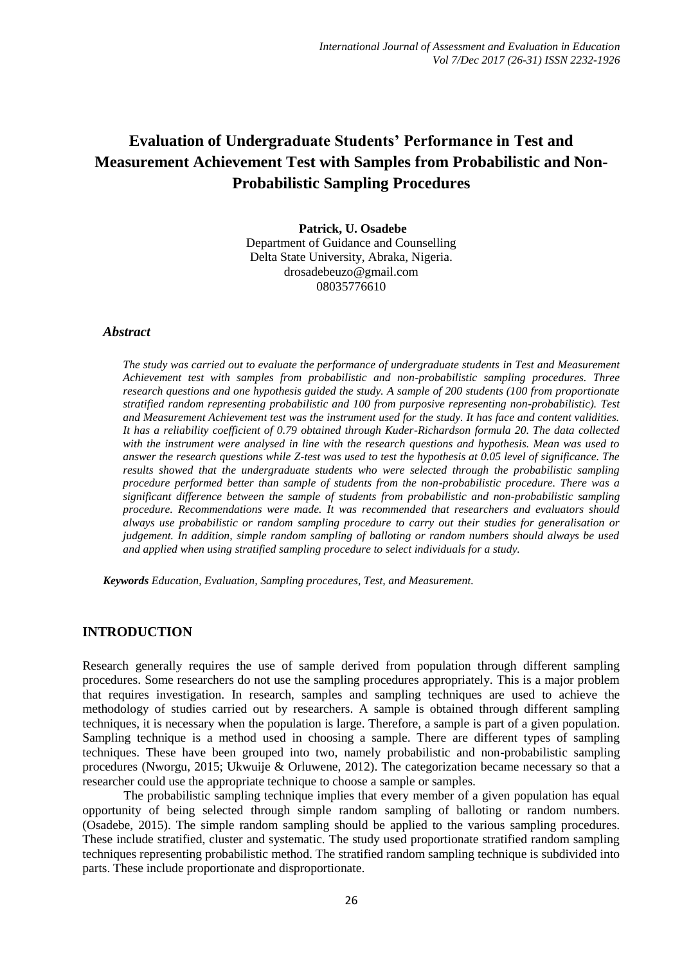# **Evaluation of Undergraduate Students' Performance in Test and Measurement Achievement Test with Samples from Probabilistic and Non-Probabilistic Sampling Procedures**

**Patrick, U. Osadebe** Department of Guidance and Counselling Delta State University, Abraka, Nigeria. drosadebeuzo@gmail.com 08035776610

#### *Abstract*

*The study was carried out to evaluate the performance of undergraduate students in Test and Measurement Achievement test with samples from probabilistic and non-probabilistic sampling procedures. Three research questions and one hypothesis guided the study. A sample of 200 students (100 from proportionate stratified random representing probabilistic and 100 from purposive representing non-probabilistic). Test and Measurement Achievement test was the instrument used for the study. It has face and content validities. It has a reliability coefficient of 0.79 obtained through Kuder-Richardson formula 20. The data collected with the instrument were analysed in line with the research questions and hypothesis. Mean was used to answer the research questions while Z-test was used to test the hypothesis at 0.05 level of significance. The results showed that the undergraduate students who were selected through the probabilistic sampling procedure performed better than sample of students from the non-probabilistic procedure. There was a significant difference between the sample of students from probabilistic and non-probabilistic sampling procedure. Recommendations were made. It was recommended that researchers and evaluators should always use probabilistic or random sampling procedure to carry out their studies for generalisation or judgement. In addition, simple random sampling of balloting or random numbers should always be used and applied when using stratified sampling procedure to select individuals for a study.*

*Keywords Education, Evaluation, Sampling procedures, Test, and Measurement.*

### **INTRODUCTION**

Research generally requires the use of sample derived from population through different sampling procedures. Some researchers do not use the sampling procedures appropriately. This is a major problem that requires investigation. In research, samples and sampling techniques are used to achieve the methodology of studies carried out by researchers. A sample is obtained through different sampling techniques, it is necessary when the population is large. Therefore, a sample is part of a given population. Sampling technique is a method used in choosing a sample. There are different types of sampling techniques. These have been grouped into two, namely probabilistic and non-probabilistic sampling procedures (Nworgu, 2015; Ukwuije & Orluwene, 2012). The categorization became necessary so that a researcher could use the appropriate technique to choose a sample or samples.

The probabilistic sampling technique implies that every member of a given population has equal opportunity of being selected through simple random sampling of balloting or random numbers. (Osadebe, 2015). The simple random sampling should be applied to the various sampling procedures. These include stratified, cluster and systematic. The study used proportionate stratified random sampling techniques representing probabilistic method. The stratified random sampling technique is subdivided into parts. These include proportionate and disproportionate.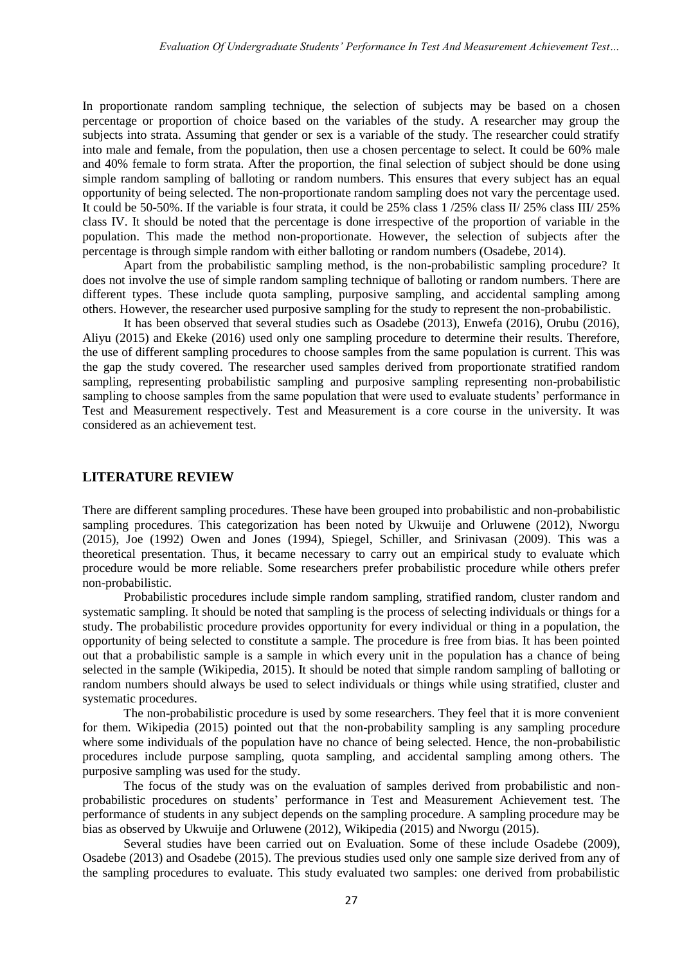In proportionate random sampling technique, the selection of subjects may be based on a chosen percentage or proportion of choice based on the variables of the study. A researcher may group the subjects into strata. Assuming that gender or sex is a variable of the study. The researcher could stratify into male and female, from the population, then use a chosen percentage to select. It could be 60% male and 40% female to form strata. After the proportion, the final selection of subject should be done using simple random sampling of balloting or random numbers. This ensures that every subject has an equal opportunity of being selected. The non-proportionate random sampling does not vary the percentage used. It could be 50-50%. If the variable is four strata, it could be 25% class 1 /25% class II/ 25% class III/ 25% class IV. It should be noted that the percentage is done irrespective of the proportion of variable in the population. This made the method non-proportionate. However, the selection of subjects after the percentage is through simple random with either balloting or random numbers (Osadebe, 2014).

Apart from the probabilistic sampling method, is the non-probabilistic sampling procedure? It does not involve the use of simple random sampling technique of balloting or random numbers. There are different types. These include quota sampling, purposive sampling, and accidental sampling among others. However, the researcher used purposive sampling for the study to represent the non-probabilistic.

It has been observed that several studies such as Osadebe (2013), Enwefa (2016), Orubu (2016), Aliyu (2015) and Ekeke (2016) used only one sampling procedure to determine their results. Therefore, the use of different sampling procedures to choose samples from the same population is current. This was the gap the study covered. The researcher used samples derived from proportionate stratified random sampling, representing probabilistic sampling and purposive sampling representing non-probabilistic sampling to choose samples from the same population that were used to evaluate students' performance in Test and Measurement respectively. Test and Measurement is a core course in the university. It was considered as an achievement test.

### **LITERATURE REVIEW**

There are different sampling procedures. These have been grouped into probabilistic and non-probabilistic sampling procedures. This categorization has been noted by Ukwuije and Orluwene (2012), Nworgu (2015), Joe (1992) Owen and Jones (1994), Spiegel, Schiller, and Srinivasan (2009). This was a theoretical presentation. Thus, it became necessary to carry out an empirical study to evaluate which procedure would be more reliable. Some researchers prefer probabilistic procedure while others prefer non-probabilistic.

Probabilistic procedures include simple random sampling, stratified random, cluster random and systematic sampling. It should be noted that sampling is the process of selecting individuals or things for a study. The probabilistic procedure provides opportunity for every individual or thing in a population, the opportunity of being selected to constitute a sample. The procedure is free from bias. It has been pointed out that a probabilistic sample is a sample in which every unit in the population has a chance of being selected in the sample (Wikipedia, 2015). It should be noted that simple random sampling of balloting or random numbers should always be used to select individuals or things while using stratified, cluster and systematic procedures.

The non-probabilistic procedure is used by some researchers. They feel that it is more convenient for them. Wikipedia (2015) pointed out that the non-probability sampling is any sampling procedure where some individuals of the population have no chance of being selected. Hence, the non-probabilistic procedures include purpose sampling, quota sampling, and accidental sampling among others. The purposive sampling was used for the study.

The focus of the study was on the evaluation of samples derived from probabilistic and nonprobabilistic procedures on students' performance in Test and Measurement Achievement test. The performance of students in any subject depends on the sampling procedure. A sampling procedure may be bias as observed by Ukwuije and Orluwene (2012), Wikipedia (2015) and Nworgu (2015).

Several studies have been carried out on Evaluation. Some of these include Osadebe (2009), Osadebe (2013) and Osadebe (2015). The previous studies used only one sample size derived from any of the sampling procedures to evaluate. This study evaluated two samples: one derived from probabilistic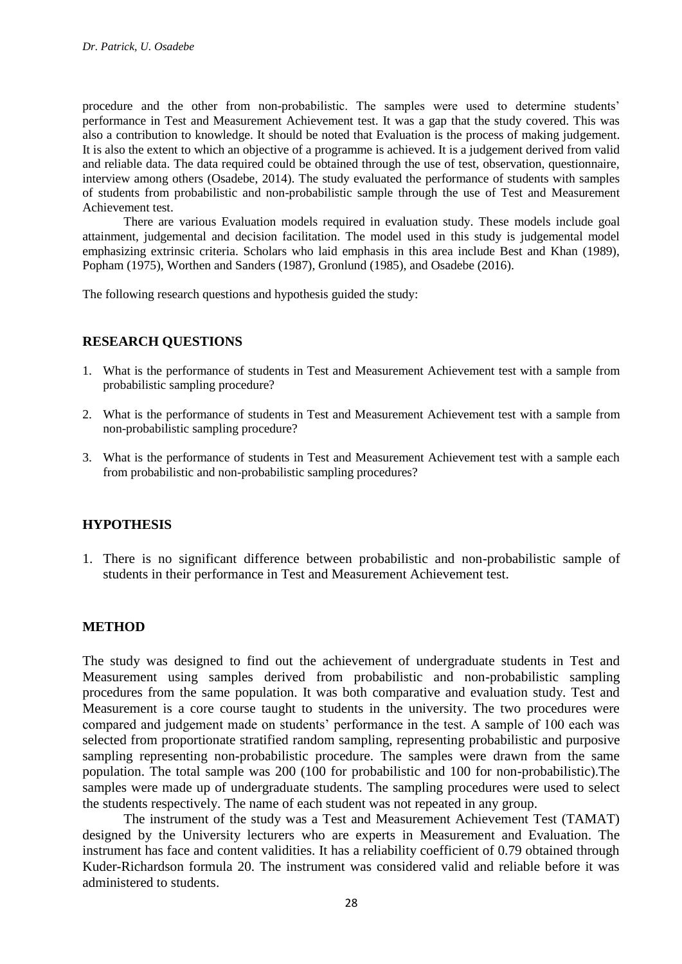procedure and the other from non-probabilistic. The samples were used to determine students' performance in Test and Measurement Achievement test. It was a gap that the study covered. This was also a contribution to knowledge. It should be noted that Evaluation is the process of making judgement. It is also the extent to which an objective of a programme is achieved. It is a judgement derived from valid and reliable data. The data required could be obtained through the use of test, observation, questionnaire, interview among others (Osadebe, 2014). The study evaluated the performance of students with samples of students from probabilistic and non-probabilistic sample through the use of Test and Measurement Achievement test.

There are various Evaluation models required in evaluation study. These models include goal attainment, judgemental and decision facilitation. The model used in this study is judgemental model emphasizing extrinsic criteria. Scholars who laid emphasis in this area include Best and Khan (1989), Popham (1975), Worthen and Sanders (1987), Gronlund (1985), and Osadebe (2016).

The following research questions and hypothesis guided the study:

### **RESEARCH QUESTIONS**

- 1. What is the performance of students in Test and Measurement Achievement test with a sample from probabilistic sampling procedure?
- 2. What is the performance of students in Test and Measurement Achievement test with a sample from non-probabilistic sampling procedure?
- 3. What is the performance of students in Test and Measurement Achievement test with a sample each from probabilistic and non-probabilistic sampling procedures?

### **HYPOTHESIS**

1. There is no significant difference between probabilistic and non-probabilistic sample of students in their performance in Test and Measurement Achievement test.

### **METHOD**

The study was designed to find out the achievement of undergraduate students in Test and Measurement using samples derived from probabilistic and non-probabilistic sampling procedures from the same population. It was both comparative and evaluation study. Test and Measurement is a core course taught to students in the university. The two procedures were compared and judgement made on students' performance in the test. A sample of 100 each was selected from proportionate stratified random sampling, representing probabilistic and purposive sampling representing non-probabilistic procedure. The samples were drawn from the same population. The total sample was 200 (100 for probabilistic and 100 for non-probabilistic).The samples were made up of undergraduate students. The sampling procedures were used to select the students respectively. The name of each student was not repeated in any group.

The instrument of the study was a Test and Measurement Achievement Test (TAMAT) designed by the University lecturers who are experts in Measurement and Evaluation. The instrument has face and content validities. It has a reliability coefficient of 0.79 obtained through Kuder-Richardson formula 20. The instrument was considered valid and reliable before it was administered to students.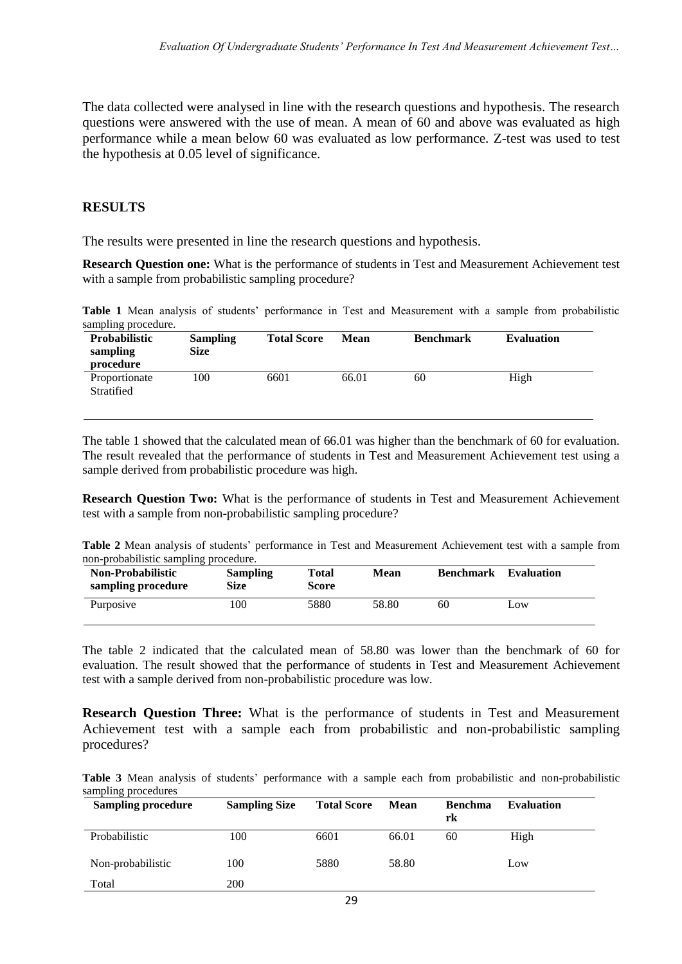The data collected were analysed in line with the research questions and hypothesis. The research questions were answered with the use of mean. A mean of 60 and above was evaluated as high performance while a mean below 60 was evaluated as low performance. Z-test was used to test the hypothesis at 0.05 level of significance.

# **RESULTS**

The results were presented in line the research questions and hypothesis.

**Research Question one:** What is the performance of students in Test and Measurement Achievement test with a sample from probabilistic sampling procedure?

**Table 1** Mean analysis of students' performance in Test and Measurement with a sample from probabilistic sampling procedure.

| <b>Probabilistic</b><br>sampling<br>procedure | <b>Sampling</b><br><b>Size</b> | <b>Total Score</b> | Mean  | <b>Benchmark</b> | <b>Evaluation</b> |
|-----------------------------------------------|--------------------------------|--------------------|-------|------------------|-------------------|
| Proportionate<br>Stratified                   | 100                            | 6601               | 66.01 | 60               | High              |

The table 1 showed that the calculated mean of 66.01 was higher than the benchmark of 60 for evaluation. The result revealed that the performance of students in Test and Measurement Achievement test using a sample derived from probabilistic procedure was high.

**Research Question Two:** What is the performance of students in Test and Measurement Achievement test with a sample from non-probabilistic sampling procedure?

**Table 2** Mean analysis of students' performance in Test and Measurement Achievement test with a sample from non-probabilistic sampling procedure.

| <b>Non-Probabilistic</b><br>sampling procedure | <b>Sampling</b><br>Size | Total<br>Score | Mean  | <b>Benchmark</b> | Evaluation |
|------------------------------------------------|-------------------------|----------------|-------|------------------|------------|
| Purposive                                      | 100                     | 5880           | 58.80 | 60               | Low        |

The table 2 indicated that the calculated mean of 58.80 was lower than the benchmark of 60 for evaluation. The result showed that the performance of students in Test and Measurement Achievement test with a sample derived from non-probabilistic procedure was low.

**Research Question Three:** What is the performance of students in Test and Measurement Achievement test with a sample each from probabilistic and non-probabilistic sampling procedures?

**Table 3** Mean analysis of students' performance with a sample each from probabilistic and non-probabilistic sampling procedures

| ັ<br><b>Sampling procedure</b> | <b>Sampling Size</b> | <b>Total Score</b> | <b>Mean</b> | <b>Benchma</b><br>rk | <b>Evaluation</b> |
|--------------------------------|----------------------|--------------------|-------------|----------------------|-------------------|
| Probabilistic                  | 100                  | 6601               | 66.01       | 60                   | High              |
| Non-probabilistic              | 100                  | 5880               | 58.80       |                      | Low               |
| Total                          | 200                  |                    |             |                      |                   |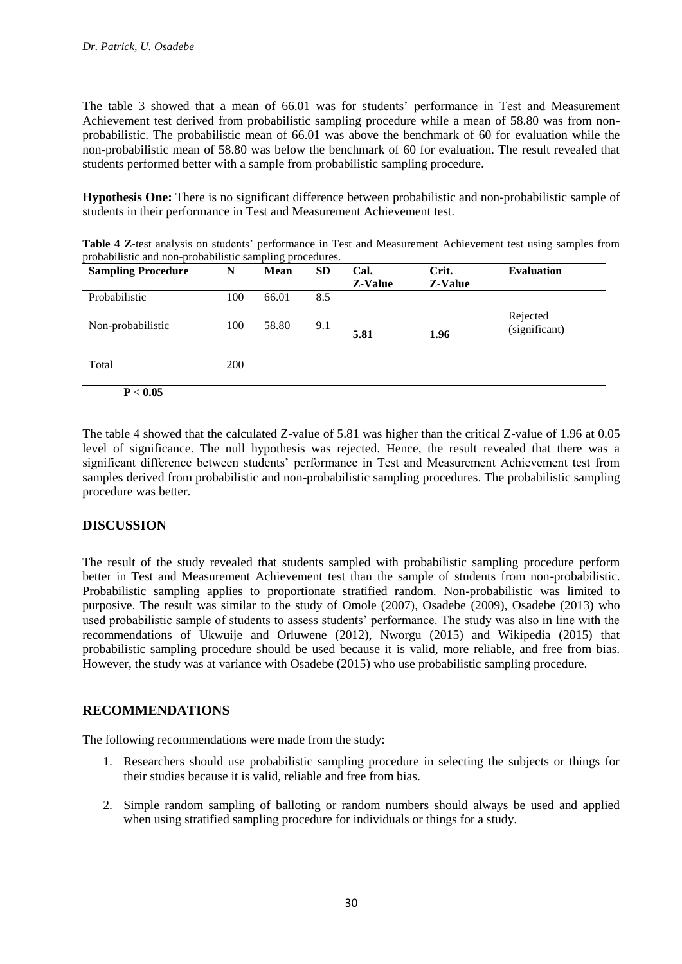The table 3 showed that a mean of 66.01 was for students' performance in Test and Measurement Achievement test derived from probabilistic sampling procedure while a mean of 58.80 was from nonprobabilistic. The probabilistic mean of 66.01 was above the benchmark of 60 for evaluation while the non-probabilistic mean of 58.80 was below the benchmark of 60 for evaluation. The result revealed that students performed better with a sample from probabilistic sampling procedure.

**Hypothesis One:** There is no significant difference between probabilistic and non-probabilistic sample of students in their performance in Test and Measurement Achievement test.

**Table 4 Z-**test analysis on students' performance in Test and Measurement Achievement test using samples from probabilistic and non-probabilistic sampling procedures.

| <b>Sampling Procedure</b> | N          | <b>Mean</b> | <b>SD</b> | Cal.<br>Z-Value | Crit.<br><b>Z-Value</b> | <b>Evaluation</b>         |
|---------------------------|------------|-------------|-----------|-----------------|-------------------------|---------------------------|
| Probabilistic             | 100        | 66.01       | 8.5       |                 |                         |                           |
| Non-probabilistic         | 100        | 58.80       | 9.1       | 5.81            | 1.96                    | Rejected<br>(significant) |
| Total                     | <b>200</b> |             |           |                 |                         |                           |
| P < 0.05                  |            |             |           |                 |                         |                           |

The table 4 showed that the calculated Z-value of 5.81 was higher than the critical Z-value of 1.96 at 0.05 level of significance. The null hypothesis was rejected. Hence, the result revealed that there was a significant difference between students' performance in Test and Measurement Achievement test from samples derived from probabilistic and non-probabilistic sampling procedures. The probabilistic sampling procedure was better.

# **DISCUSSION**

The result of the study revealed that students sampled with probabilistic sampling procedure perform better in Test and Measurement Achievement test than the sample of students from non-probabilistic. Probabilistic sampling applies to proportionate stratified random. Non-probabilistic was limited to purposive. The result was similar to the study of Omole (2007), Osadebe (2009), Osadebe (2013) who used probabilistic sample of students to assess students' performance. The study was also in line with the recommendations of Ukwuije and Orluwene (2012), Nworgu (2015) and Wikipedia (2015) that probabilistic sampling procedure should be used because it is valid, more reliable, and free from bias. However, the study was at variance with Osadebe (2015) who use probabilistic sampling procedure.

# **RECOMMENDATIONS**

The following recommendations were made from the study:

- 1. Researchers should use probabilistic sampling procedure in selecting the subjects or things for their studies because it is valid, reliable and free from bias.
- 2. Simple random sampling of balloting or random numbers should always be used and applied when using stratified sampling procedure for individuals or things for a study.